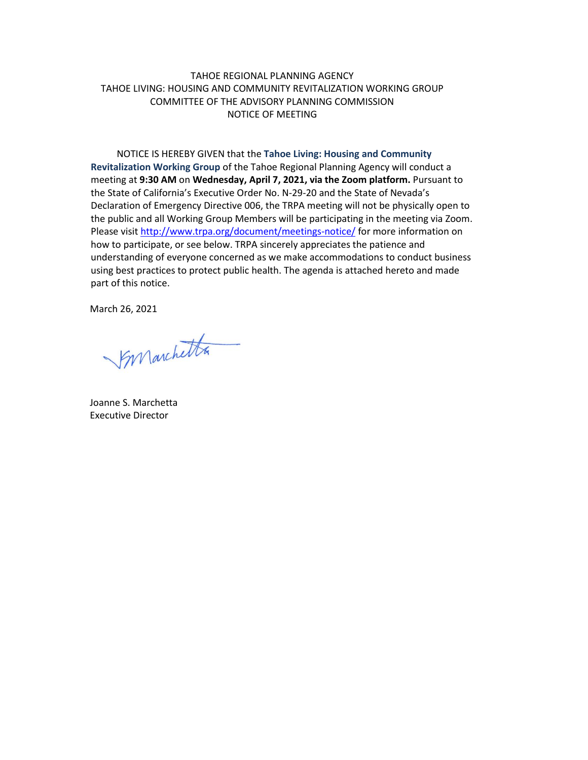## TAHOE REGIONAL PLANNING AGENCY TAHOE LIVING: HOUSING AND COMMUNITY REVITALIZATION WORKING GROUP COMMITTEE OF THE ADVISORY PLANNING COMMISSION NOTICE OF MEETING

NOTICE IS HEREBY GIVEN that the **Tahoe Living: Housing and Community Revitalization Working Group** of the Tahoe Regional Planning Agency will conduct a meeting at **9:30 AM** on **Wednesday, April 7, 2021, via the Zoom platform.** Pursuant to the State of California's Executive Order No. N-29-20 and the State of Nevada's Declaration of Emergency Directive 006, the TRPA meeting will not be physically open to the public and all Working Group Members will be participating in the meeting via Zoom. Please visit <http://www.trpa.org/document/meetings-notice/> for more information on how to participate, or see below. TRPA sincerely appreciates the patience and understanding of everyone concerned as we make accommodations to conduct business using best practices to protect public health. The agenda is attached hereto and made part of this notice.

March 26, 2021

Synanchetta

Joanne S. Marchetta Executive Director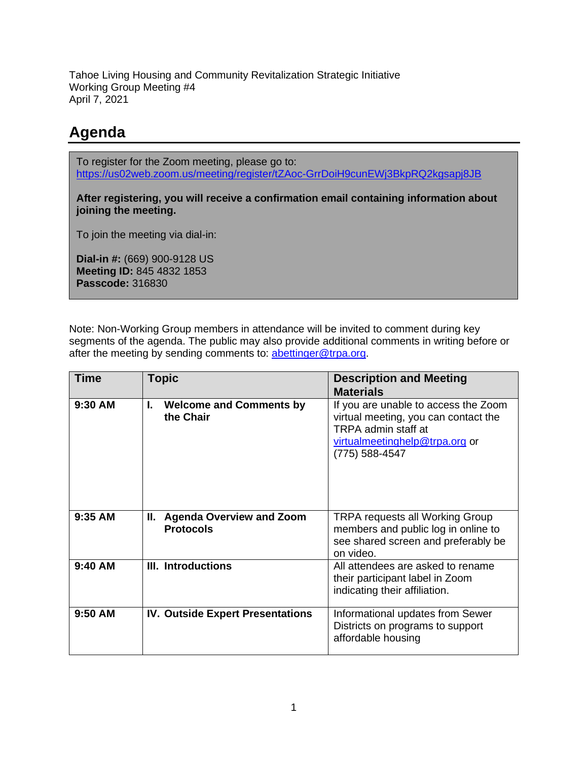Tahoe Living Housing and Community Revitalization Strategic Initiative Working Group Meeting #4 April 7, 2021

## **Agenda**

To register for the Zoom meeting, please go to: <https://us02web.zoom.us/meeting/register/tZAoc-GrrDoiH9cunEWj3BkpRQ2kgsapj8JB>

**After registering, you will receive a confirmation email containing information about joining the meeting.**

To join the meeting via dial-in:

**Dial-in #:** (669) 900-9128 US **Meeting ID:** 845 4832 1853 **Passcode:** 316830

Note: Non-Working Group members in attendance will be invited to comment during key segments of the agenda. The public may also provide additional comments in writing before or after the meeting by sending comments to: [abettinger@trpa.org.](mailto:abettinger@trpa.org)

| <b>Time</b> | <b>Topic</b>                                              | <b>Description and Meeting</b><br><b>Materials</b>                                                                                                      |
|-------------|-----------------------------------------------------------|---------------------------------------------------------------------------------------------------------------------------------------------------------|
| 9:30 AM     | ı.<br><b>Welcome and Comments by</b><br>the Chair         | If you are unable to access the Zoom<br>virtual meeting, you can contact the<br>TRPA admin staff at<br>virtualmeetinghelp@trpa.org or<br>(775) 588-4547 |
| 9:35 AM     | Ш.<br><b>Agenda Overview and Zoom</b><br><b>Protocols</b> | <b>TRPA requests all Working Group</b><br>members and public log in online to<br>see shared screen and preferably be<br>on video.                       |
| $9:40$ AM   | III. Introductions                                        | All attendees are asked to rename<br>their participant label in Zoom<br>indicating their affiliation.                                                   |
| $9:50$ AM   | <b>IV. Outside Expert Presentations</b>                   | Informational updates from Sewer<br>Districts on programs to support<br>affordable housing                                                              |